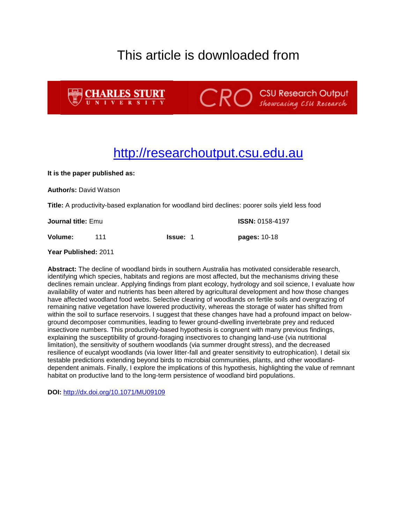## This article is downloaded from





**CRO** Showcasing CSU Research

## [http://researchoutput.csu.edu.au](http://researchoutput.csu.edu.au/)

**It is the paper published as:**

**Author/s:** David Watson

**Title:** A productivity-based explanation for woodland bird declines: poorer soils yield less food

**Journal title:** Emu **ISSN:** 0158-4197

**Volume:** 111 **Issue:** 1 **pages:** 10-18

**Year Published:** 2011

**Abstract:** The decline of woodland birds in southern Australia has motivated considerable research, identifying which species, habitats and regions are most affected, but the mechanisms driving these declines remain unclear. Applying findings from plant ecology, hydrology and soil science, I evaluate how availability of water and nutrients has been altered by agricultural development and how those changes have affected woodland food webs. Selective clearing of woodlands on fertile soils and overgrazing of remaining native vegetation have lowered productivity, whereas the storage of water has shifted from within the soil to surface reservoirs. I suggest that these changes have had a profound impact on belowground decomposer communities, leading to fewer ground-dwelling invertebrate prey and reduced insectivore numbers. This productivity-based hypothesis is congruent with many previous findings, explaining the susceptibility of ground-foraging insectivores to changing land-use (via nutritional limitation), the sensitivity of southern woodlands (via summer drought stress), and the decreased resilience of eucalypt woodlands (via lower litter-fall and greater sensitivity to eutrophication). I detail six testable predictions extending beyond birds to microbial communities, plants, and other woodlanddependent animals. Finally, I explore the implications of this hypothesis, highlighting the value of remnant habitat on productive land to the long-term persistence of woodland bird populations.

**DOI:** <http://dx.doi.org/10.1071/MU09109>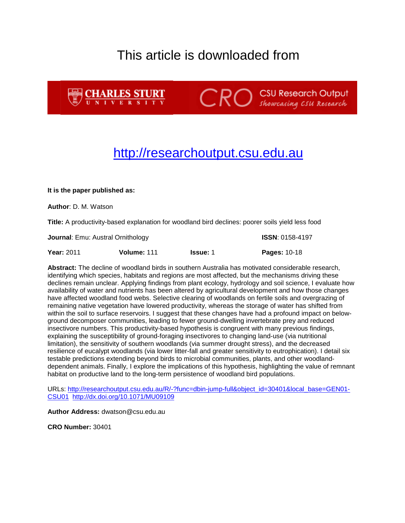## This article is downloaded from



**CRO** Showcasing CSU Research

## [http://researchoutput.csu.edu.au](http://researchoutput.csu.edu.au/)

#### **It is the paper published as:**

**Author**: D. M. Watson

**Title:** A productivity-based explanation for woodland bird declines: poorer soils yield less food

**Journal**: Emu: Austral Ornithology **ISSN**: 0158-4197

**Year:** 2011 **Volume:** 111 **Issue:** 1 **Pages:** 10-18

**Abstract:** The decline of woodland birds in southern Australia has motivated considerable research, identifying which species, habitats and regions are most affected, but the mechanisms driving these declines remain unclear. Applying findings from plant ecology, hydrology and soil science, I evaluate how availability of water and nutrients has been altered by agricultural development and how those changes have affected woodland food webs. Selective clearing of woodlands on fertile soils and overgrazing of remaining native vegetation have lowered productivity, whereas the storage of water has shifted from within the soil to surface reservoirs. I suggest that these changes have had a profound impact on belowground decomposer communities, leading to fewer ground-dwelling invertebrate prey and reduced insectivore numbers. This productivity-based hypothesis is congruent with many previous findings, explaining the susceptibility of ground-foraging insectivores to changing land-use (via nutritional limitation), the sensitivity of southern woodlands (via summer drought stress), and the decreased resilience of eucalypt woodlands (via lower litter-fall and greater sensitivity to eutrophication). I detail six testable predictions extending beyond birds to microbial communities, plants, and other woodlanddependent animals. Finally, I explore the implications of this hypothesis, highlighting the value of remnant habitat on productive land to the long-term persistence of woodland bird populations.

URLs: [http://researchoutput.csu.edu.au/R/-?func=dbin-jump-full&object\\_id=30401&local\\_base=GEN01-](http://researchoutput.csu.edu.au/R/-?func=dbin-jump-full&object_id=30401&local_base=GEN01-CSU01) [CSU01](http://researchoutput.csu.edu.au/R/-?func=dbin-jump-full&object_id=30401&local_base=GEN01-CSU01) <http://dx.doi.org/10.1071/MU09109>

**Author Address:** dwatson@csu.edu.au

**CRO Number:** 30401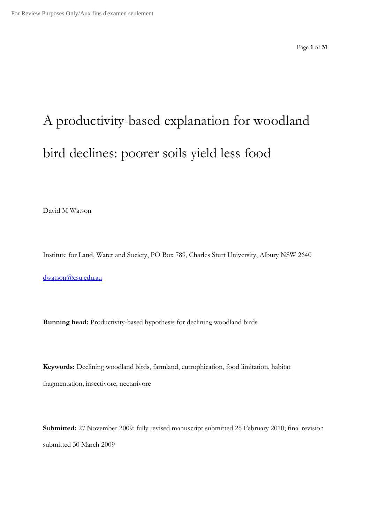Page **1** of **31**

# A productivity-based explanation for woodland bird declines: poorer soils yield less food

David M Watson

Institute for Land, Water and Society, PO Box 789, Charles Sturt University, Albury NSW 2640

dwatson@csu.edu.au

**Running head:** Productivity-based hypothesis for declining woodland birds

**Keywords:** Declining woodland birds, farmland, eutrophication, food limitation, habitat fragmentation, insectivore, nectarivore

**Submitted:** 27 November 2009; fully revised manuscript submitted 26 February 2010; final revision submitted 30 March 2009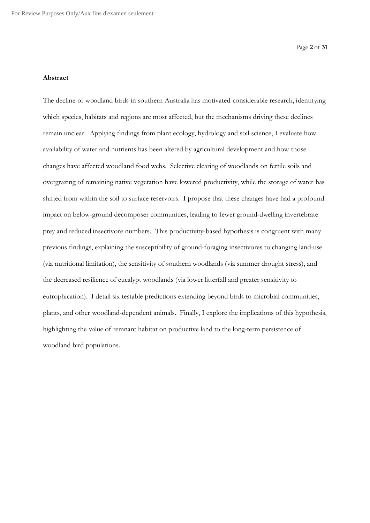#### **Abstract**

The decline of woodland birds in southern Australia has motivated considerable research, identifying which species, habitats and regions are most affected, but the mechanisms driving these declines remain unclear. Applying findings from plant ecology, hydrology and soil science, I evaluate how availability of water and nutrients has been altered by agricultural development and how those changes have affected woodland food webs. Selective clearing of woodlands on fertile soils and overgrazing of remaining native vegetation have lowered productivity, while the storage of water has shifted from within the soil to surface reservoirs. I propose that these changes have had a profound impact on below-ground decomposer communities, leading to fewer ground-dwelling invertebrate prey and reduced insectivore numbers. This productivity-based hypothesis is congruent with many previous findings, explaining the susceptibility of ground-foraging insectivores to changing land-use (via nutritional limitation), the sensitivity of southern woodlands (via summer drought stress), and the decreased resilience of eucalypt woodlands (via lower litterfall and greater sensitivity to eutrophication). I detail six testable predictions extending beyond birds to microbial communities, plants, and other woodland-dependent animals. Finally, I explore the implications of this hypothesis, highlighting the value of remnant habitat on productive land to the long-term persistence of woodland bird populations.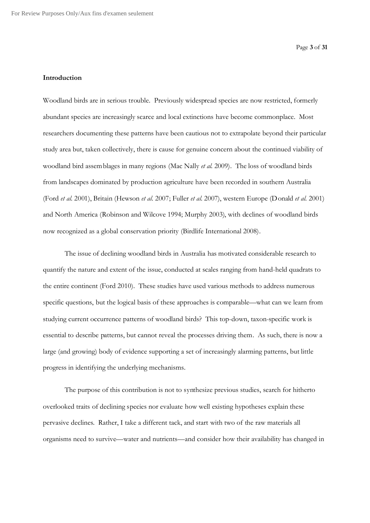### **Introduction**

Woodland birds are in serious trouble. Previously widespread species are now restricted, formerly abundant species are increasingly scarce and local extinctions have become commonplace. Most researchers documenting these patterns have been cautious not to extrapolate beyond their particular study area but, taken collectively, there is cause for genuine concern about the continued viability of woodland bird assemblages in many regions (Mac Nally *et al.* 2009). The loss of woodland birds from landscapes dominated by production agriculture have been recorded in southern Australia (Ford *et al.* 2001), Britain (Hewson *et al.* 2007; Fuller *et al.* 2007), western Europe (Donald *et al.* 2001) and North America (Robinson and Wilcove 1994; Murphy 2003), with declines of woodland birds now recognized as a global conservation priority (Birdlife International 2008).

The issue of declining woodland birds in Australia has motivated considerable research to quantify the nature and extent of the issue, conducted at scales ranging from hand-held quadrats to the entire continent (Ford 2010). These studies have used various methods to address numerous specific questions, but the logical basis of these approaches is comparable—what can we learn from studying current occurrence patterns of woodland birds? This top-down, taxon-specific work is essential to describe patterns, but cannot reveal the processes driving them. As such, there is now a large (and growing) body of evidence supporting a set of increasingly alarming patterns, but little progress in identifying the underlying mechanisms.

The purpose of this contribution is not to synthesize previous studies, search for hitherto overlooked traits of declining species nor evaluate how well existing hypotheses explain these pervasive declines. Rather, I take a different tack, and start with two of the raw materials all organisms need to survive—water and nutrients—and consider how their availability has changed in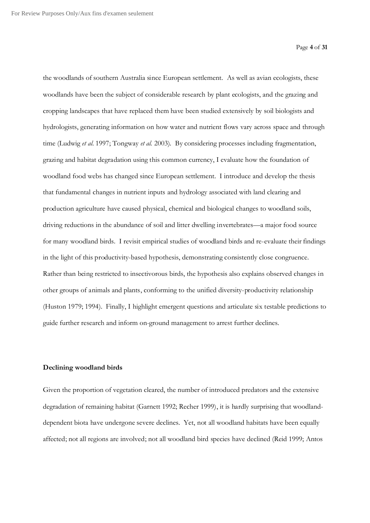the woodlands of southern Australia since European settlement. As well as avian ecologists, these woodlands have been the subject of considerable research by plant ecologists, and the grazing and cropping landscapes that have replaced them have been studied extensively by soil biologists and hydrologists, generating information on how water and nutrient flows vary across space and through time (Ludwig *et al.* 1997; Tongway *et al.* 2003). By considering processes including fragmentation, grazing and habitat degradation using this common currency, I evaluate how the foundation of woodland food webs has changed since European settlement. I introduce and develop the thesis that fundamental changes in nutrient inputs and hydrology associated with land clearing and production agriculture have caused physical, chemical and biological changes to woodland soils, driving reductions in the abundance of soil and litter dwelling invertebrates—a major food source for many woodland birds. I revisit empirical studies of woodland birds and re-evaluate their findings in the light of this productivity-based hypothesis, demonstrating consistently close congruence. Rather than being restricted to insectivorous birds, the hypothesis also explains observed changes in other groups of animals and plants, conforming to the unified diversity-productivity relationship (Huston 1979; 1994). Finally, I highlight emergent questions and articulate six testable predictions to guide further research and inform on-ground management to arrest further declines.

#### **Declining woodland birds**

Given the proportion of vegetation cleared, the number of introduced predators and the extensive degradation of remaining habitat (Garnett 1992; Recher 1999), it is hardly surprising that woodlanddependent biota have undergone severe declines. Yet, not all woodland habitats have been equally affected; not all regions are involved; not all woodland bird species have declined (Reid 1999; Antos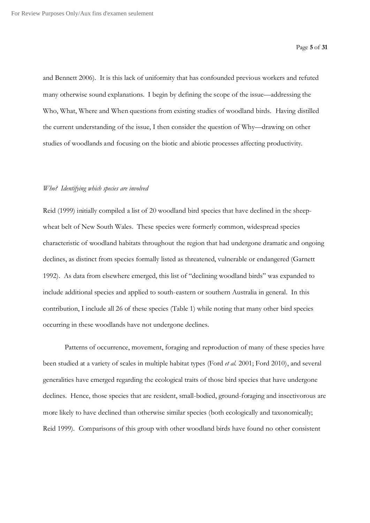and Bennett 2006). It is this lack of uniformity that has confounded previous workers and refuted many otherwise sound explanations. I begin by defining the scope of the issue—addressing the Who, What, Where and When questions from existing studies of woodland birds. Having distilled the current understanding of the issue, I then consider the question of Why—drawing on other studies of woodlands and focusing on the biotic and abiotic processes affecting productivity.

#### *Who? Identifying which species are involved*

Reid (1999) initially compiled a list of 20 woodland bird species that have declined in the sheepwheat belt of New South Wales. These species were formerly common, widespread species characteristic of woodland habitats throughout the region that had undergone dramatic and ongoing declines, as distinct from species formally listed as threatened, vulnerable or endangered (Garnett 1992). As data from elsewhere emerged, this list of "declining woodland birds" was expanded to include additional species and applied to south-eastern or southern Australia in general. In this contribution, I include all 26 of these species (Table 1) while noting that many other bird species occurring in these woodlands have not undergone declines.

Patterns of occurrence, movement, foraging and reproduction of many of these species have been studied at a variety of scales in multiple habitat types (Ford *et al.* 2001; Ford 2010), and several generalities have emerged regarding the ecological traits of those bird species that have undergone declines. Hence, those species that are resident, small-bodied, ground-foraging and insectivorous are more likely to have declined than otherwise similar species (both ecologically and taxonomically; Reid 1999). Comparisons of this group with other woodland birds have found no other consistent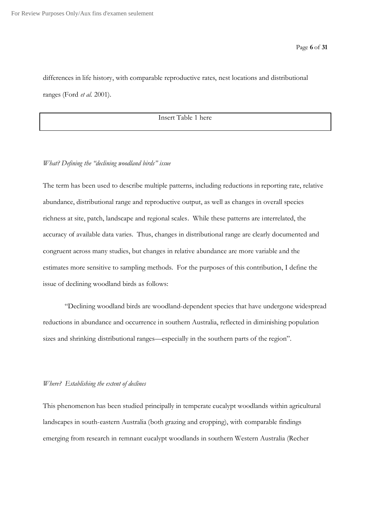differences in life history, with comparable reproductive rates, nest locations and distributional ranges (Ford *et al.* 2001).

Insert Table 1 here

#### *What? Defining the "declining woodland birds" issue*

The term has been used to describe multiple patterns, including reductions in reporting rate, relative abundance, distributional range and reproductive output, as well as changes in overall species richness at site, patch, landscape and regional scales. While these patterns are interrelated, the accuracy of available data varies. Thus, changes in distributional range are clearly documented and congruent across many studies, but changes in relative abundance are more variable and the estimates more sensitive to sampling methods. For the purposes of this contribution, I define the issue of declining woodland birds as follows:

"Declining woodland birds are woodland-dependent species that have undergone widespread reductions in abundance and occurrence in southern Australia, reflected in diminishing population sizes and shrinking distributional ranges—especially in the southern parts of the region".

#### *Where? Establishing the extent of declines*

This phenomenon has been studied principally in temperate eucalypt woodlands within agricultural landscapes in south-eastern Australia (both grazing and cropping), with comparable findings emerging from research in remnant eucalypt woodlands in southern Western Australia (Recher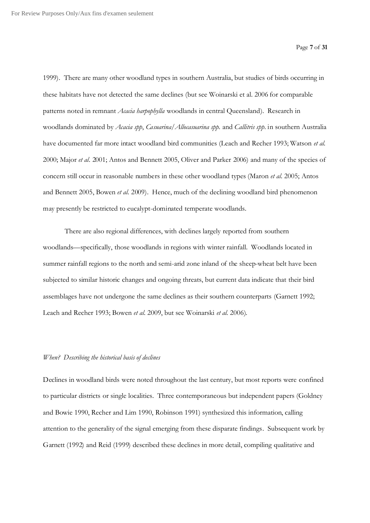1999). There are many other woodland types in southern Australia, but studies of birds occurring in these habitats have not detected the same declines (but see Woinarski et al. 2006 for comparable patterns noted in remnant *Acacia harpophylla* woodlands in central Queensland). Research in woodlands dominated by *Acacia spp*, *Casuarina/Allocasuarina spp.* and *Callitris spp.* in southern Australia have documented far more intact woodland bird communities (Leach and Recher 1993; Watson *et al.* 2000; Major *et al.* 2001; Antos and Bennett 2005, Oliver and Parker 2006) and many of the species of concern still occur in reasonable numbers in these other woodland types (Maron *et al.* 2005; Antos and Bennett 2005, Bowen *et al.* 2009). Hence, much of the declining woodland bird phenomenon may presently be restricted to eucalypt-dominated temperate woodlands.

There are also regional differences, with declines largely reported from southern woodlands—specifically, those woodlands inregions with winter rainfall. Woodlands located in summer rainfall regions to the north and semi-arid zone inland of the sheep-wheat belt have been subjected to similar historic changes and ongoing threats, but current data indicate that their bird assemblages have not undergone the same declines as their southern counterparts (Garnett 1992; Leach and Recher 1993; Bowen *et al.* 2009, but see Woinarski *et al.* 2006).

#### *When? Describing the historical basis of declines*

Declines in woodland birds were noted throughout the last century, but most reports were confined to particular districts or single localities. Three contemporaneous but independent papers (Goldney and Bowie 1990, Recher and Lim 1990, Robinson 1991) synthesized this information, calling attention to the generality of the signal emerging from these disparate findings. Subsequent work by Garnett (1992) and Reid (1999) described these declines in more detail, compiling qualitative and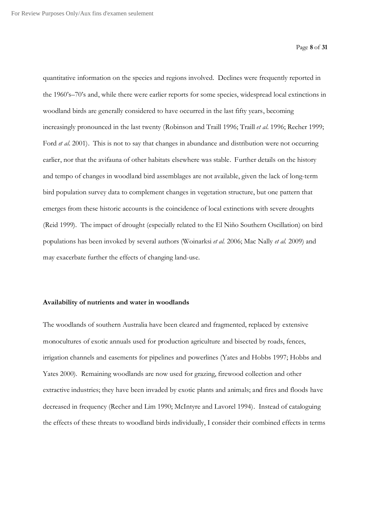quantitative information on the species and regions involved. Declines were frequently reported in the 1960's–70's and, while there were earlier reports for some species, widespread local extinctions in woodland birds are generally considered to have occurred in the last fifty years, becoming increasingly pronounced in the last twenty (Robinson and Traill 1996; Traill *et al.* 1996; Recher 1999; Ford *et al.* 2001). This is not to say that changes in abundance and distribution were not occurring earlier, nor that the avifauna of other habitats elsewhere was stable. Further details on the history and tempo of changes in woodland bird assemblages are not available, given the lack of long-term bird population survey data to complement changes in vegetation structure, but one pattern that emerges from these historic accounts is the coincidence of local extinctions with severe droughts (Reid 1999). The impact of drought (especially related to the El Niño Southern Oscillation) on bird populations has been invoked by several authors (Woinarksi *et al.* 2006; Mac Nally *et al.* 2009) and may exacerbate further the effects of changing land-use.

#### **Availability of nutrients and water in woodlands**

The woodlands of southern Australia have been cleared and fragmented, replaced by extensive monocultures of exotic annuals used for production agriculture and bisected by roads, fences, irrigation channels and easements for pipelines and powerlines (Yates and Hobbs 1997; Hobbs and Yates 2000). Remaining woodlands are now used for grazing, firewood collection and other extractive industries; they have been invaded by exotic plants and animals; and fires and floods have decreased in frequency (Recher and Lim 1990; McIntyre and Lavorel 1994). Instead of cataloguing the effects of these threats to woodland birds individually, I consider their combined effects in terms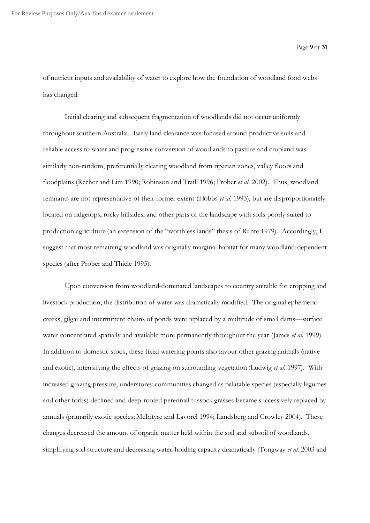of nutrient inputs and availability of water to explore how the foundation of woodland food webs has changed.

Initial clearing and subsequent fragmentation of woodlands did not occur uniformly throughout southern Australia. Early land clearance was focused around productive soils and reliable access to water and progressive conversion of woodlands to pasture and cropland was similarly non-random, preferentially clearing woodland from riparian zones, valley floors and floodplains (Recher and Lim 1990; Robinson and Traill 1996; Prober *et al.* 2002). Thus, woodland remnants are not representative of their former extent (Hobbs *et al.* 1993), but are disproportionately located on ridgetops, rocky hillsides, and other parts of the landscape with soils poorly suited to production agriculture (an extension of the "worthless lands" thesis of Runte 1979). Accordingly, I suggest that most remaining woodland was originally marginal habitat for many woodland-dependent species (after Prober and Thiele 1995).

Upon conversion from woodland-dominated landscapes to country suitable for cropping and livestock production, the distribution of water was dramatically modified. The original ephemeral creeks, gilgai and intermittent chains of ponds were replaced by a multitude of small dams—surface water concentrated spatially and available more permanently throughout the year (James *et al.* 1999). In addition to domestic stock, these fixed watering points also favour other grazing animals (native and exotic), intensifying the effects of grazing on surrounding vegetation (Ludwig *et al.* 1997). With increased grazing pressure, understorey communities changed as palatable species (especially legumes and other forbs) declined and deep-rooted perennial tussock grasses became successively replaced by annuals (primarily exotic species; McIntyre and Lavorel 1994; Landsberg and Crowley 2004). These changes decreased the amount of organic matter held within the soil and subsoil of woodlands, simplifying soil structure and decreasing water-holding capacity dramatically (Tongway *et al.* 2003 and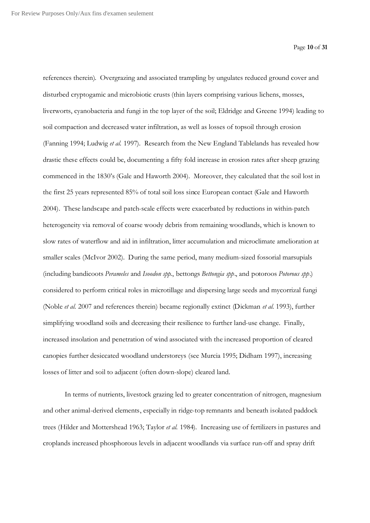references therein). Overgrazing and associated trampling by ungulates reduced ground cover and disturbed cryptogamic and microbiotic crusts (thin layers comprising various lichens, mosses, liverworts, cyanobacteria and fungi in the top layer of the soil; Eldridge and Greene 1994) leading to soil compaction and decreased water infiltration, as well as losses of topsoil through erosion (Fanning 1994; Ludwig *et al.* 1997). Research from the New England Tablelands has revealed how drastic these effects could be, documenting a fifty fold increase in erosion rates after sheep grazing commenced in the 1830's (Gale and Haworth 2004). Moreover, they calculated that the soil lost in the first 25 years represented 85% of total soil loss since European contact (Gale and Haworth 2004). These landscape and patch-scale effects were exacerbated by reductions in within-patch heterogeneity via removal of coarse woody debris from remaining woodlands, which is known to slow rates of waterflow and aid in infiltration, litter accumulation and microclimate amelioration at smaller scales (McIvor 2002). During the same period, many medium-sized fossorial marsupials (including bandicoots *Perameles* and *Isoodon spp*., bettongs *Bettongia spp*., and potoroos *Potorous spp*.) considered to perform critical roles in microtillage and dispersing large seeds and mycorrizal fungi (Noble *et al.* 2007 and references therein) became regionally extinct (Dickman *et al.* 1993), further simplifying woodland soils and decreasing their resilience to further land-use change. Finally, increased insolation and penetration of wind associated with the increased proportion of cleared canopies further desiccated woodland understoreys (see Murcia 1995; Didham 1997), increasing losses of litter and soil to adjacent (often down-slope) cleared land.

In terms of nutrients, livestock grazing led to greater concentration of nitrogen, magnesium and other animal-derived elements, especially in ridge-top remnants and beneath isolated paddock trees (Hilder and Mottershead 1963; Taylor *et al.* 1984). Increasing use of fertilizers in pastures and croplands increased phosphorous levels in adjacent woodlands via surface run-off and spray drift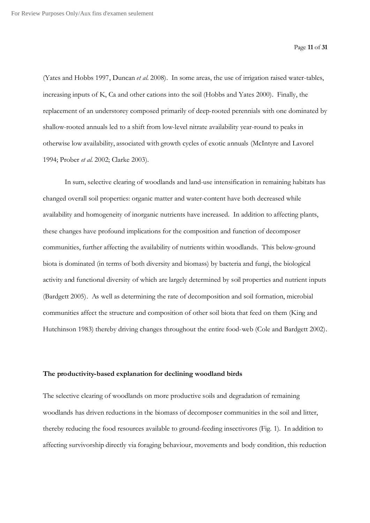(Yates and Hobbs 1997, Duncan *et al.* 2008). In some areas, the use of irrigation raised water-tables, increasing inputs of K, Ca and other cations into the soil (Hobbs and Yates 2000). Finally, the replacement of an understorey composed primarily of deep-rooted perennials with one dominated by shallow-rooted annuals led to a shift from low-level nitrate availability year-round to peaks in otherwise low availability, associated with growth cycles of exotic annuals (McIntyre and Lavorel 1994; Prober *et al.* 2002; Clarke 2003).

In sum, selective clearing of woodlands and land-use intensification in remaining habitats has changed overall soil properties: organic matter and water-content have both decreased while availability and homogeneity of inorganic nutrients have increased. In addition to affecting plants, these changes have profound implications for the composition and function of decomposer communities, further affecting the availability of nutrients within woodlands. This below-ground biota is dominated (in terms of both diversity and biomass) by bacteria and fungi, the biological activity and functional diversity of which are largely determined by soil properties and nutrient inputs (Bardgett 2005). As well as determining the rate of decomposition and soil formation, microbial communities affect the structure and composition of other soil biota that feed on them (King and Hutchinson 1983) thereby driving changes throughout the entire food-web (Cole and Bardgett 2002).

#### **The productivity-based explanation for declining woodland birds**

The selective clearing of woodlands on more productive soils and degradation of remaining woodlands has driven reductions in the biomass of decomposer communities in the soil and litter, thereby reducing the food resources available to ground-feeding insectivores (Fig. 1). In addition to affecting survivorship directly via foraging behaviour, movements and body condition, this reduction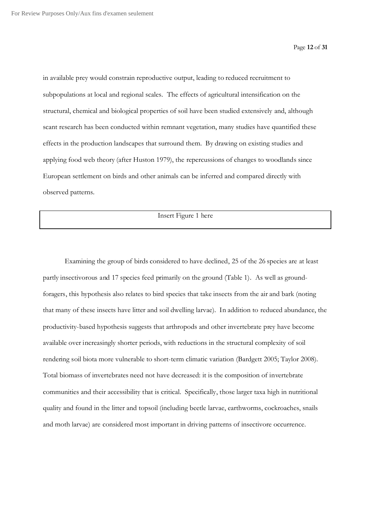in available prey would constrain reproductive output, leading to reduced recruitment to subpopulations at local and regional scales. The effects of agricultural intensification on the structural, chemical and biological properties of soil have been studied extensively and, although scant research has been conducted within remnant vegetation, many studies have quantified these effects in the production landscapes that surround them. By drawing on existing studies and applying food web theory (after Huston 1979), the repercussions of changes to woodlands since European settlement on birds and other animals can be inferred and compared directly with observed patterns.

Insert Figure 1 here

Examining the group of birds considered to have declined, 25 of the 26 species are at least partly insectivorous and 17 species feed primarily on the ground (Table 1). As well as groundforagers, this hypothesis also relates to bird species that take insects from the air and bark (noting that many of these insects have litter and soil dwelling larvae). In addition to reduced abundance, the productivity-based hypothesis suggests that arthropods and other invertebrate prey have become available over increasingly shorter periods, with reductions in the structural complexity of soil rendering soil biota more vulnerable to short-term climatic variation (Bardgett 2005; Taylor 2008). Total biomass of invertebrates need not have decreased: it is the composition of invertebrate communities and their accessibility that is critical. Specifically, those larger taxa high in nutritional quality and found in the litter and topsoil (including beetle larvae, earthworms, cockroaches, snails and moth larvae) are considered most important in driving patterns of insectivore occurrence.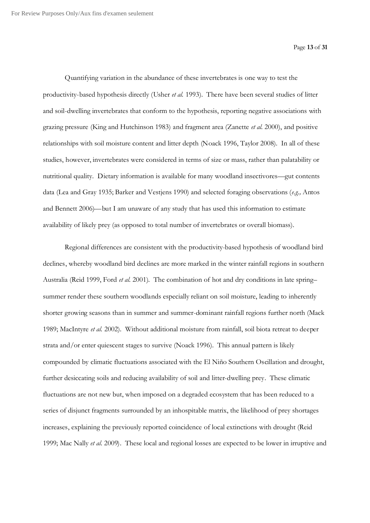Quantifying variation in the abundance of these invertebrates is one way to test the productivity-based hypothesis directly (Usher *et al.* 1993). There have been several studies of litter and soil-dwelling invertebrates that conform to the hypothesis, reporting negative associations with grazing pressure (King and Hutchinson 1983) and fragment area (Zanette *et al.* 2000), and positive relationships with soil moisture content and litter depth (Noack 1996, Taylor 2008). In all of these studies, however, invertebrates were considered in terms of size or mass, rather than palatability or nutritional quality. Dietary information is available for many woodland insectivores—gut contents data (Lea and Gray 1935; Barker and Vestjens 1990) and selected foraging observations (*e.g.,* Antos and Bennett 2006)—but I am unaware of any study that has used this information to estimate availability of likely prey (as opposed to total number of invertebrates or overall biomass).

Regional differences are consistent with the productivity-based hypothesis of woodland bird declines, whereby woodland bird declines are more marked in the winter rainfall regions in southern Australia (Reid 1999, Ford *et al.* 2001). The combination of hot and dry conditions in late spring– summer render these southern woodlands especially reliant on soil moisture, leading to inherently shorter growing seasons than in summer and summer-dominant rainfall regions further north (Mack 1989; MacIntyre *et al.* 2002). Without additional moisture from rainfall, soil biota retreat to deeper strata and/or enter quiescent stages to survive (Noack 1996). This annual pattern is likely compounded by climatic fluctuations associated with the El Niño Southern Oscillation and drought, further desiccating soils and reducing availability of soil and litter-dwelling prey. These climatic fluctuations are not new but, when imposed on a degraded ecosystem that has been reduced to a series of disjunct fragments surrounded by an inhospitable matrix, the likelihood of prey shortages increases, explaining the previously reported coincidence of local extinctions with drought (Reid 1999; Mac Nally *et al.* 2009). These local and regional losses are expected to be lower in irruptive and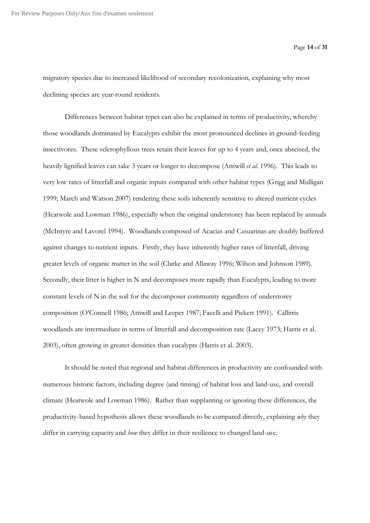migratory species due to increased likelihood of secondary recolonization, explaining why most declining species are year-round residents.

Differences between habitat types can also be explained in terms of productivity, whereby those woodlands dominated by Eucalypts exhibit the most pronounced declines in ground-feeding insectivores. These sclerophyllous trees retain their leaves for up to 4 years and, once abscised, the heavily lignified leaves can take 3 years or longer to decompose (Attiwill *et al.* 1996). This leads to very low rates of litterfall and organic inputs compared with other habitat types (Grigg and Mulligan 1999; March and Watson 2007) rendering these soils inherently sensitive to altered nutrient cycles (Heatwole and Lowman 1986), especially when the original understorey has been replaced by annuals (McIntyre and Lavorel 1994). Woodlands composed of Acacias and Casuarinas are doubly buffered against changes to nutrient inputs. Firstly, they have inherently higher rates of litterfall, driving greater levels of organic matter in the soil (Clarke and Allaway 1996; Wilson and Johnson 1989). Secondly, their litter is higher in N and decomposes more rapidly than Eucalypts, leading to more constant levels of N in the soil for the decomposer community regardless of understorey composition (O'Connell 1986; Attiwill and Leeper 1987; Facelli and Pickett 1991). Callitris woodlands are intermediate in terms of litterfall and decomposition rate (Lacey 1973; Harris et al. 2003), often growing in greater densities than eucalypts (Harris et al. 2003).

It should be noted that regional and habitat differences in productivity are confounded with numerous historic factors, including degree (and timing) of habitat loss and land-use, and overall climate (Heatwole and Lowman 1986). Rather than supplanting or ignoring these differences, the productivity-based hypothesis allows these woodlands to be compared directly, explaining *why* they differ in carrying capacity and *how* they differ in their resilience to changed land-use.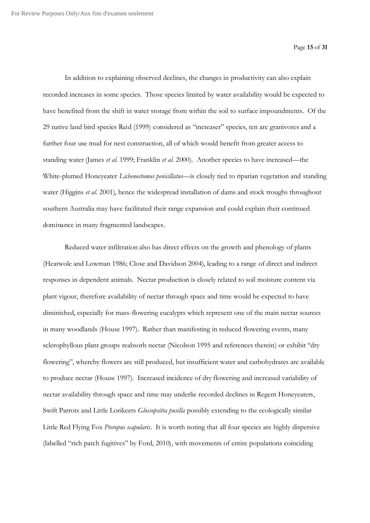In addition to explaining observed declines, the changes in productivity can also explain recorded increases in some species. Those species limited by water availability would be expected to have benefited from the shift in water storage from within the soil to surface impoundments. Of the 29 native land bird species Reid (1999) considered as "increaser" species, ten are granivores and a further four use mud for nest construction, all of which would benefit from greater access to standing water (James *et al.* 1999; Franklin *et al.* 2000). Another species to have increased—the White-plumed Honeyeater *Lichenostomus penicillatus*—is closely tied to riparian vegetation and standing water (Higgins *et al.* 2001), hence the widespread installation of dams and stock troughs throughout southern Australia may have facilitated their range expansion and could explain their continued dominance in many fragmented landscapes.

Reduced water infiltration also has direct effects on the growth and phenology of plants (Heatwole and Lowman 1986; Close and Davidson 2004), leading to a range of direct and indirect responses in dependent animals. Nectar production is closely related to soil moisture content via plant vigour, therefore availability of nectar through space and time would be expected to have diminished, especially for mass-flowering eucalypts which represent one of the main nectar sources in many woodlands (House 1997). Rather than manifesting in reduced flowering events, many sclerophyllous plant groups reabsorb nectar (Nicolson 1995 and references therein) or exhibit "dry flowering", whereby flowers are still produced, but insufficient water and carbohydrates are available to produce nectar (House 1997). Increased incidence of dry flowering and increased variability of nectar availability through space and time may underlie recorded declines in Regent Honeyeaters, Swift Parrots and Little Lorikeets *Glossopsitta pusilla* possibly extending to the ecologically similar Little Red Flying Fox *Pteropus scapularis*. It is worth noting that all four species are highly dispersive (labelled "rich patch fugitives" by Ford, 2010), with movements of entire populations coinciding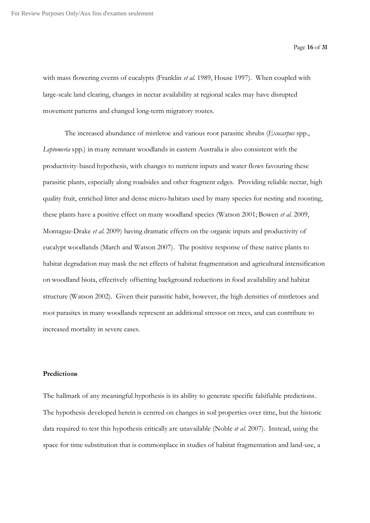with mass flowering events of eucalypts (Franklin *et al.* 1989, House 1997). When coupled with large-scale land clearing, changes in nectar availability at regional scales may have disrupted movement patterns and changed long-term migratory routes.

The increased abundance of mistletoe and various root parasitic shrubs (*Exocarpus* spp., *Leptomeria* spp.) in many remnant woodlands in eastern Australia is also consistent with the productivity-based hypothesis, with changes to nutrient inputs and water flows favouring these parasitic plants, especially along roadsides and other fragment edges. Providing reliable nectar, high quality fruit, enriched litter and dense micro-habitats used by many species for nesting and roosting, these plants have a positive effect on many woodland species (Watson 2001; Bowen *et al.* 2009, Montague-Drake *et al.* 2009) having dramatic effects on the organic inputs and productivity of eucalypt woodlands (March and Watson 2007). The positive response of these native plants to habitat degradation may mask the net effects of habitat fragmentation and agricultural intensification on woodland biota, effectively offsetting background reductions in food availability and habitat structure (Watson 2002). Given their parasitic habit, however, the high densities of mistletoes and root parasites in many woodlands represent an additional stressor on trees, and can contribute to increased mortality in severe cases.

#### **Predictions**

The hallmark of any meaningful hypothesis is its ability to generate specific falsifiable predictions. The hypothesis developed herein is centred on changes in soil properties over time, but the historic data required to test this hypothesis critically are unavailable (Noble *et al.* 2007). Instead, using the space for time substitution that is commonplace in studies of habitat fragmentation and land-use, a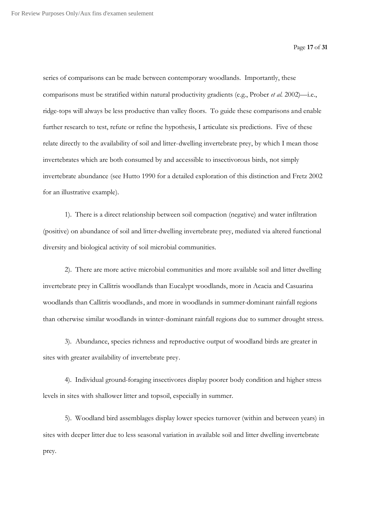Page **17** of **31**

series of comparisons can be made between contemporary woodlands. Importantly, these comparisons must be stratified within natural productivity gradients (e.g., Prober *et al.* 2002)—i.e., ridge-tops will always be less productive than valley floors. To guide these comparisons and enable further research to test, refute or refine the hypothesis, I articulate six predictions. Five of these relate directly to the availability of soil and litter-dwelling invertebrate prey, by which I mean those invertebrates which are both consumed by and accessible to insectivorous birds, not simply invertebrate abundance (see Hutto 1990 for a detailed exploration of this distinction and Fretz 2002 for an illustrative example).

1). There is a direct relationship between soil compaction (negative) and water infiltration (positive) on abundance of soil and litter-dwelling invertebrate prey, mediated via altered functional diversity and biological activity of soil microbial communities.

2). There are more active microbial communities and more available soil and litter dwelling invertebrate prey in Callitris woodlands than Eucalypt woodlands, more in Acacia and Casuarina woodlands than Callitris woodlands, and more in woodlands in summer-dominant rainfall regions than otherwise similar woodlands in winter-dominant rainfall regions due to summer drought stress.

3). Abundance, species richness and reproductive output of woodland birds are greater in sites with greater availability of invertebrate prey.

4). Individual ground-foraging insectivores display poorer body condition and higher stress levels in sites with shallower litter and topsoil, especially in summer.

5). Woodland bird assemblages display lower species turnover (within and between years) in sites with deeper litter due to less seasonal variation in available soil and litter dwelling invertebrate prey.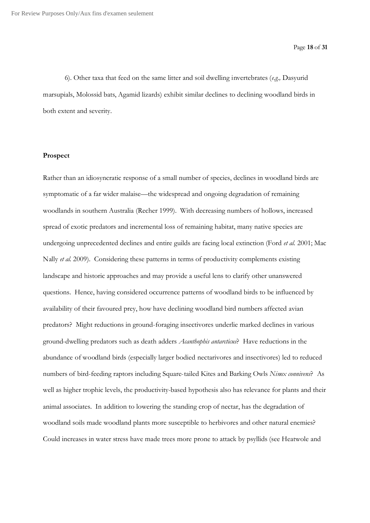6). Other taxa that feed on the same litter and soil dwelling invertebrates (*e.g.,* Dasyurid marsupials, Molossid bats, Agamid lizards) exhibit similar declines to declining woodland birds in both extent and severity.

#### **Prospect**

Rather than an idiosyncratic response of a small number of species, declines in woodland birds are symptomatic of a far wider malaise—the widespread and ongoing degradation of remaining woodlands in southern Australia (Recher 1999). With decreasing numbers of hollows, increased spread of exotic predators and incremental loss of remaining habitat, many native species are undergoing unprecedented declines and entire guilds are facing local extinction (Ford *et al.* 2001; Mac Nally *et al.* 2009). Considering these patterns in terms of productivity complements existing landscape and historic approaches and may provide a useful lens to clarify other unanswered questions. Hence, having considered occurrence patterns of woodland birds to be influenced by availability of their favoured prey, how have declining woodland bird numbers affected avian predators? Might reductions in ground-foraging insectivores underlie marked declines in various ground-dwelling predators such as death adders *Acanthophis antarcticus*? Have reductions in the abundance of woodland birds (especially larger bodied nectarivores and insectivores) led to reduced numbers of bird-feeding raptors including Square-tailed Kites and Barking Owls *Ninox connivens*? As well as higher trophic levels, the productivity-based hypothesis also has relevance for plants and their animal associates. In addition to lowering the standing crop of nectar, has the degradation of woodland soils made woodland plants more susceptible to herbivores and other natural enemies? Could increases in water stress have made trees more prone to attack by psyllids (see Heatwole and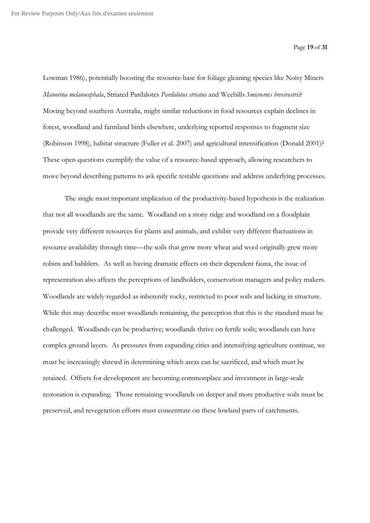Lowman 1986), potentially boosting the resource-base for foliage gleaning species like Noisy Miners *Manorina melanocephala*, Striated Pardalotes *Pardalotus striatus* and Weebills *Smicrornis brevirostris*? Moving beyond southern Australia, might similar reductions in food resources explain declines in forest, woodland and farmland birds elsewhere, underlying reported responses to fragment size (Robinson 1998), habitat structure (Fuller et al. 2007) and agricultural intensification (Donald 2001)? These open questions exemplify the value of a resource-based approach, allowing researchers to move beyond describing patterns to ask specific testable questions and address underlying processes.

The single most important implication of the productivity-based hypothesis is the realization that not all woodlands are the same. Woodland on a stony ridge and woodland on a floodplain provide very different resources for plants and animals, and exhibit very different fluctuations in resource availability through time—the soils that grow more wheat and wool originally grew more robins and babblers. As well as having dramatic effects on their dependent fauna, the issue of representation also affects the perceptions of landholders, conservation managers and policy makers. Woodlands are widely regarded as inherently rocky, restricted to poor soils and lacking in structure. While this may describe most woodlands remaining, the perception that this is the standard must be challenged. Woodlands can be productive; woodlands thrive on fertile soils; woodlands can have complex ground layers. As pressures from expanding cities and intensifying agriculture continue, we must be increasingly shrewd in determining which areas can be sacrificed, and which must be retained. Offsets for development are becoming commonplace and investment in large-scale restoration is expanding. Those remaining woodlands on deeper and more productive soils must be preserved, and revegetation efforts must concentrate on these lowland parts of catchments.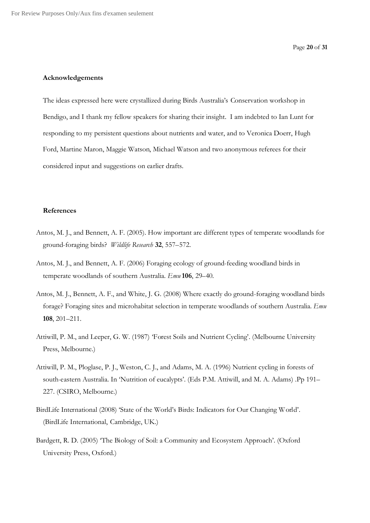#### **Acknowledgements**

The ideas expressed here were crystallized during Birds Australia's Conservation workshop in Bendigo, and I thank my fellow speakers for sharing their insight. I am indebted to Ian Lunt for responding to my persistent questions about nutrients and water, and to Veronica Doerr, Hugh Ford, Martine Maron, Maggie Watson, Michael Watson and two anonymous referees for their considered input and suggestions on earlier drafts.

#### **References**

- Antos, M. J., and Bennett, A. F. (2005). How important are different types of temperate woodlands for ground-foraging birds? *Wildlife Research* **32**, 557–572.
- Antos, M. J., and Bennett, A. F. (2006) Foraging ecology of ground-feeding woodland birds in temperate woodlands of southern Australia. *Emu* **106**, 29–40.
- Antos, M. J., Bennett, A. F., and White, J. G. (2008) Where exactly do ground-foraging woodland birds forage? Foraging sites and microhabitat selection in temperate woodlands of southern Australia. *Emu* **108**, 201–211.
- Attiwill, P. M., and Leeper, G. W. (1987) 'Forest Soils and Nutrient Cycling'. (Melbourne University Press, Melbourne.)
- Attiwill, P. M., Ploglase, P. J., Weston, C. J., and Adams, M. A. (1996) Nutrient cycling in forests of south-eastern Australia. In 'Nutrition of eucalypts'. (Eds P.M. Attiwill, and M. A. Adams) .Pp 191– 227. (CSIRO, Melbourne.)
- BirdLife International (2008) 'State of the World's Birds: Indicators for Our Changing World'. (BirdLife International, Cambridge, UK.)
- Bardgett, R. D. (2005) 'The Biology of Soil: a Community and Ecosystem Approach'. (Oxford University Press, Oxford.)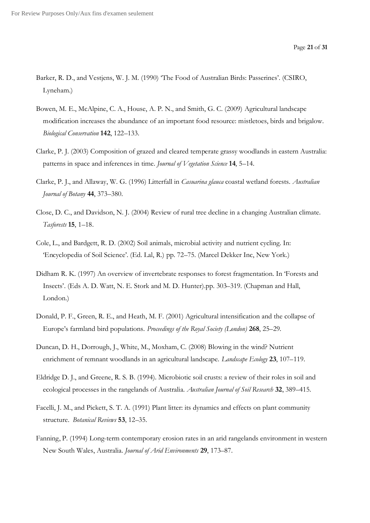- Barker, R. D., and Vestjens, W. J. M. (1990) 'The Food of Australian Birds: Passerines'. (CSIRO, Lyneham.)
- Bowen, M. E., McAlpine, C. A., House, A. P. N., and Smith, G. C. (2009) Agricultural landscape modification increases the abundance of an important food resource: mistletoes, birds and brigalow. *Biological Conservation* **142**, 122–133.
- Clarke, P. J. (2003) Composition of grazed and cleared temperate grassy woodlands in eastern Australia: patterns in space and inferences in time. *Journal of Vegetation Science* **14**, 5–14.
- Clarke, P. J., and Allaway, W. G. (1996) Litterfall in *Casuarina glauca* coastal wetland forests. *Australian Journal of Botany* **44**, 373–380.
- Close, D. C., and Davidson, N. J. (2004) Review of rural tree decline in a changing Australian climate. *Tasforests* **15**, 1–18.
- Cole, L., and Bardgett, R. D. (2002) Soil animals, microbial activity and nutrient cycling. In: 'Encyclopedia of Soil Science'. (Ed. Lal, R.) pp. 72–75. (Marcel Dekker Inc, New York.)
- Didham R. K. (1997) An overview of invertebrate responses to forest fragmentation. In 'Forests and Insects'. (Eds A. D. Watt, N. E. Stork and M. D. Hunter).pp. 303–319. (Chapman and Hall, London.)
- Donald, P. F., Green, R. E., and Heath, M. F. (2001) Agricultural intensification and the collapse of Europe's farmland bird populations. *Proceedings of the Royal Society (London)* **268**, 25–29.
- Duncan, D. H., Dorrough, J., White, M., Moxham, C. (2008) Blowing in the wind? Nutrient enrichment of remnant woodlands in an agricultural landscape. *Landscape Ecology* **23**, 107–119.
- Eldridge D. J., and Greene, R. S. B. (1994). Microbiotic soil crusts: a review of their roles in soil and ecological processes in the rangelands of Australia. *Australian Journal of Soil Research* **32**, 389–415.
- Facelli, J. M., and Pickett, S. T. A. (1991) Plant litter: its dynamics and effects on plant community structure. *Botanical Reviews* **53**, 12–35.
- Fanning, P. (1994) Long-term contemporary erosion rates in an arid rangelands environment in western New South Wales, Australia. *Journal of Arid Environments* **29**, 173–87.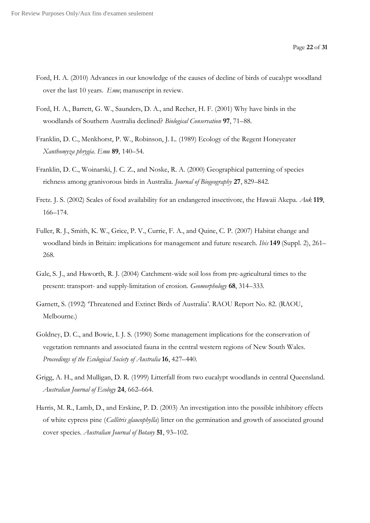- Ford, H. A. (2010) Advances in our knowledge of the causes of decline of birds of eucalypt woodland over the last 10 years. *Emu*; manuscript in review.
- Ford, H. A., Barrett, G. W., Saunders, D. A., and Recher, H. F. (2001) Why have birds in the woodlands of Southern Australia declined? *Biological Conservation* **97**, 71–88.
- Franklin, D. C., Menkhorst, P. W., Robinson, J. L. (1989) Ecology of the Regent Honeyeater *Xanthomyza phrygia*. *Emu* **89**, 140–54.
- Franklin, D. C., Woinarski, J. C. Z., and Noske, R. A. (2000) Geographical patterning of species richness among granivorous birds in Australia. *Journal of Biogeography* **27**, 829–842.
- Fretz. J. S. (2002) Scales of food availability for an endangered insectivore, the Hawaii Akepa. *Auk* **119**, 166–174.
- Fuller, R. J., Smith, K. W., Grice, P. V., Currie, F. A., and Quine, C. P. (2007) Habitat change and woodland birds in Britain: implications for management and future research. *Ibis* **149** (Suppl. 2), 261– 268.
- Gale, S. J., and Haworth, R. J. (2004) Catchment-wide soil loss from pre-agricultural times to the present: transport- and supply-limitation of erosion. *Geomorphology* **68**, 314–333.
- Garnett, S. (1992) 'Threatened and Extinct Birds of Australia'. RAOU Report No. 82. (RAOU, Melbourne.)
- Goldney, D. C., and Bowie, I. J. S. (1990) Some management implications for the conservation of vegetation remnants and associated fauna in the central western regions of New South Wales. *Proceedings of the Ecological Society of Australia* **16**, 427–440.
- Grigg, A. H., and Mulligan, D. R. (1999) Litterfall from two eucalypt woodlands in central Queensland. *Australian Journal of Ecology* **24**, 662–664.
- Harris, M. R., Lamb, D., and Erskine, P. D. (2003) An investigation into the possible inhibitory effects of white cypress pine (*Callitris glaucophylla*) litter on the germination and growth of associated ground cover species. *Australian Journal of Botany* **51**, 93–102.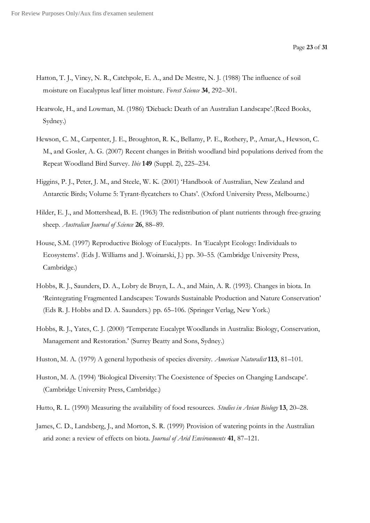- Hatton, T. J., Viney, N. R., Catchpole, E. A., and De Mestre, N. J. (1988) The influence of soil moisture on Eucalyptus leaf litter moisture. *Forest Science* **34**, 292–301.
- Heatwole, H., and Lowman, M. (1986) 'Dieback: Death of an Australian Landscape'.(Reed Books, Sydney.)
- Hewson, C. M., Carpenter, J. E., Broughton, R. K., Bellamy, P. E., Rothery, P., Amar,A., Hewson, C. M., and Gosler, A. G. (2007) Recent changes in British woodland bird populations derived from the Repeat Woodland Bird Survey. *Ibis* **149** (Suppl. 2), 225–234.
- Higgins, P. J., Peter, J. M., and Steele, W. K. (2001) 'Handbook of Australian, New Zealand and Antarctic Birds; Volume 5: Tyrant-flycatchers to Chats'. (Oxford University Press, Melbourne.)
- Hilder, E. J., and Mottershead, B. E. (1963) The redistribution of plant nutrients through free-grazing sheep. *Australian Journal of Science* **26**, 88–89.
- House, S.M. (1997) Reproductive Biology of Eucalypts. In 'Eucalypt Ecology: Individuals to Ecosystems'. (Eds J. Williams and J. Woinarski, J.) pp. 30–55. (Cambridge University Press, Cambridge.)
- Hobbs, R. J., Saunders, D. A., Lobry de Bruyn, L. A., and Main, A. R. (1993). Changes in biota. In 'Reintegrating Fragmented Landscapes: Towards Sustainable Production and Nature Conservation' (Eds R. J. Hobbs and D. A. Saunders.) pp. 65–106. (Springer Verlag, New York.)
- Hobbs, R. J., Yates, C. J. (2000) 'Temperate Eucalypt Woodlands in Australia: Biology, Conservation, Management and Restoration.' (Surrey Beatty and Sons, Sydney.)
- Huston, M. A. (1979) A general hypothesis of species diversity. *American Naturalist* **113**, 81–101.
- Huston, M. A. (1994) 'Biological Diversity: The Coexistence of Species on Changing Landscape'. (Cambridge University Press, Cambridge.)
- Hutto, R. L. (1990) Measuring the availability of food resources. *Studies in Avian Biology* **13**, 20–28.
- James, C. D., Landsberg, J., and Morton, S. R. (1999) Provision of watering points in the Australian arid zone: a review of effects on biota. *Journal of Arid Environments* **41**, 87–121.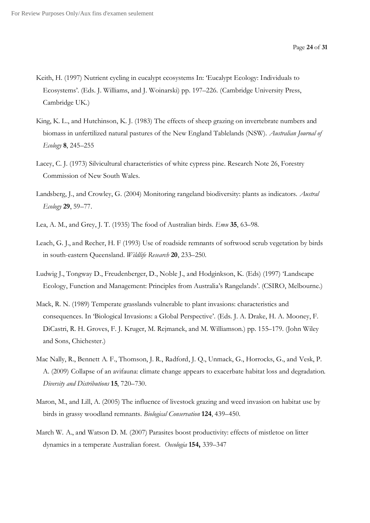- Keith, H. (1997) Nutrient cycling in eucalypt ecosystems In: 'Eucalypt Ecology: Individuals to Ecosystems'. (Eds. J. Williams, and J. Woinarski) pp. 197–226. (Cambridge University Press, Cambridge UK.)
- King, K. L., and Hutchinson, K. J. (1983) The effects of sheep grazing on invertebrate numbers and biomass in unfertilized natural pastures of the New England Tablelands (NSW). *Australian Journal of Ecology* **8**, 245–255
- Lacey, C. J. (1973) Silvicultural characteristics of white cypress pine. Research Note 26, Forestry Commission of New South Wales.
- Landsberg, J., and Crowley, G. (2004) Monitoring rangeland biodiversity: plants as indicators. *Austral Ecology* **29**, 59–77.
- Lea, A. M., and Grey, J. T. (1935) The food of Australian birds. *Emu* **35**, 63–98.
- Leach, G. J., and Recher, H. F (1993) Use of roadside remnants of softwood scrub vegetation by birds in south-eastern Queensland. *Wildlife Research* **20**, 233–250.
- Ludwig J., Tongway D., Freudenberger, D., Noble J., and Hodginkson, K. (Eds) (1997) 'Landscape Ecology, Function and Management: Principles from Australia's Rangelands'. (CSIRO, Melbourne.)
- Mack, R. N. (1989) Temperate grasslands vulnerable to plant invasions: characteristics and consequences. In 'Biological Invasions: a Global Perspective'. (Eds. J. A. Drake, H. A. Mooney, F. DiCastri, R. H. Groves, F. J. Kruger, M. Rejmanek, and M. Williamson.) pp. 155–179. (John Wiley and Sons, Chichester.)
- Mac Nally, R., Bennett A. F., Thomson, J. R., Radford, J. Q., Unmack, G., Horrocks, G., and Vesk, P. A. (2009) Collapse of an avifauna: climate change appears to exacerbate habitat loss and degradation. *Diversity and Distributions* **15**, 720–730.
- Maron, M., and Lill, A. (2005) The influence of livestock grazing and weed invasion on habitat use by birds in grassy woodland remnants. *Biological Conservation* **124**, 439–450.
- March W. A., and Watson D. M. (2007) Parasites boost productivity: effects of mistletoe on litter dynamics in a temperate Australian forest. *Oecologia* **154,** 339–347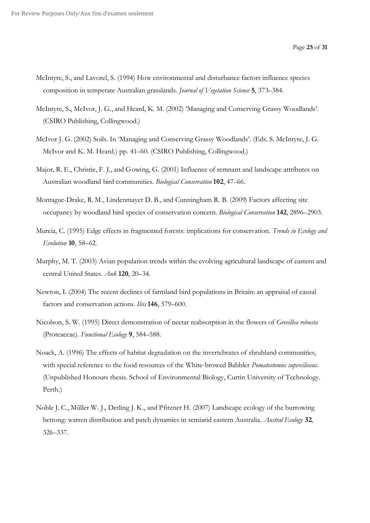- McIntyre, S., and Lavorel, S. (1994) How environmental and disturbance factors influence species composition in temperate Australian grasslands. *Journal of Vegetation Science* **5**, 373–384.
- McIntyre, S., McIvor, J. G., and Heard, K. M. (2002) 'Managing and Conserving Grassy Woodlands'. (CSIRO Publishing, Collingwood.)
- McIvor J. G. (2002) Soils. In 'Managing and Conserving Grassy Woodlands'. (Eds. S. McIntyre, J. G. McIvor and K. M. Heard.) pp. 41–60. (CSIRO Publishing, Collingwood.)
- Major, R. E., Christie, F. J., and Gowing, G. (2001) Influence of remnant and landscape attributes on Australian woodland bird communities. *Biological Conservation* **102**, 47–66.
- Montague-Drake, R. M., Lindenmayer D. B., and Cunningham R. B. (2009) Factors affecting site occupancy by woodland bird species of conservation concern. *Biological Conservation* **142**, 2896–2903.
- Murcia, C. (1995) Edge effects in fragmented forests: implications for conservation. *Trends in Ecology and Evolution* **10**, 58–62.
- Murphy, M. T. (2003) Avian population trends within the evolving agricultural landscape of eastern and central United States. *Auk* **120**, 20–34.
- Newton, I. (2004) The recent declines of farmland bird populations in Britain: an appraisal of causal factors and conservation actions. *Ibis* **146**, 579–600.
- Nicolson, S. W. (1995) Direct demonstration of nectar reabsorption in the flowers of *Grevillea robusta*  (Proteaceae). *Functional Ecology* **9**, 584–588.
- Noack, A. (1996) The effects of habitat degradation on the invertebrates of shrubland communities, with special reference to the food resources of the White-browed Babbler *Pomatostomus superciliosus*. (Unpublished Honours thesis. School of Environmental Biology, Curtin University of Technology. Perth.)
- Noble J. C., Műller W. J., Detling J. K., and Pfitzner H. (2007) Landscape ecology of the burrowing bettong: warren distribution and patch dynamics in semiarid eastern Australia. *Austral Ecology* **32**, 326–337.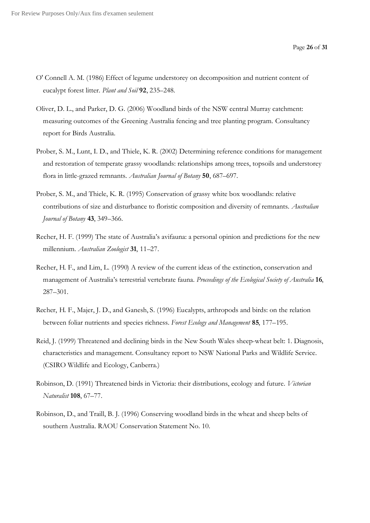- O' Connell A. M. (1986) Effect of legume understorey on decomposition and nutrient content of eucalypt forest litter. *Plant and Soil* **92**, 235–248.
- Oliver, D. L., and Parker, D. G. (2006) Woodland birds of the NSW central Murray catchment: measuring outcomes of the Greening Australia fencing and tree planting program. Consultancy report for Birds Australia.
- Prober, S. M., Lunt, I. D., and Thiele, K. R. (2002) Determining reference conditions for management and restoration of temperate grassy woodlands: relationships among trees, topsoils and understorey flora in little-grazed remnants. *Australian Journal of Botany* **50**, 687–697.
- Prober, S. M., and Thiele, K. R. (1995) Conservation of grassy white box woodlands: relative contributions of size and disturbance to floristic composition and diversity of remnants. *Australian Journal of Botany* **43**, 349–366.
- Recher, H. F. (1999) The state of Australia's avifauna: a personal opinion and predictions for the new millennium. *Australian Zoologist* **31**, 11–27.
- Recher, H. F., and Lim, L. (1990) A review of the current ideas of the extinction, conservation and management of Australia's terrestrial vertebrate fauna. *Proceedings of the Ecological Society of Australia* **16**, 287–301.
- Recher, H. F., Majer, J. D., and Ganesh, S. (1996) Eucalypts, arthropods and birds: on the relation between foliar nutrients and species richness. *Forest Ecology and Management* **85**, 177–195.
- Reid, J. (1999) Threatened and declining birds in the New South Wales sheep-wheat belt: 1. Diagnosis, characteristics and management. Consultancy report to NSW National Parks and Wildlife Service. (CSIRO Wildlife and Ecology, Canberra.)
- Robinson, D. (1991) Threatened birds in Victoria: their distributions, ecology and future. *Victorian Naturalist* **108**, 67–77.
- Robinson, D., and Traill, B. J. (1996) Conserving woodland birds in the wheat and sheep belts of southern Australia. RAOU Conservation Statement No. 10.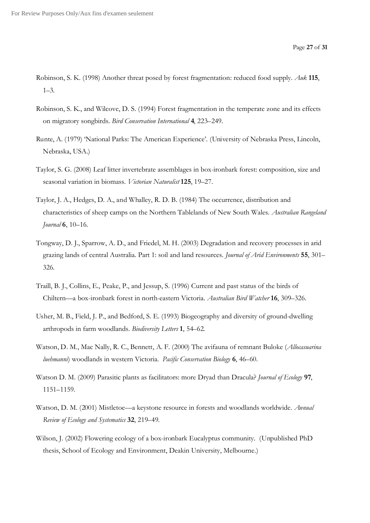- Robinson, S. K. (1998) Another threat posed by forest fragmentation: reduced food supply. *Auk* **115**, 1–3.
- Robinson, S. K., and Wilcove, D. S. (1994) Forest fragmentation in the temperate zone and its effects on migratory songbirds. *Bird Conservation International* **4**, 223–249.
- Runte, A. (1979) 'National Parks: The American Experience'. (University of Nebraska Press, Lincoln, Nebraska, USA.)
- Taylor, S. G. (2008) Leaf litter invertebrate assemblages in box-ironbark forest: composition, size and seasonal variation in biomass. *Victorian Naturalist* **125**, 19–27.
- Taylor, J. A., Hedges, D. A., and Whalley, R. D. B. (1984) The occurrence, distribution and characteristics of sheep camps on the Northern Tablelands of New South Wales. *Australian Rangeland Journal* **6**, 10–16.
- Tongway, D. J., Sparrow, A. D., and Friedel, M. H. (2003) Degradation and recovery processes in arid grazing lands of central Australia. Part 1: soil and land resources. *Journal of Arid Environments* **55**, 301– 326.
- Traill, B. J., Collins, E., Peake, P., and Jessup, S. (1996) Current and past status of the birds of Chiltern—a box-ironbark forest in north-eastern Victoria. *Australian Bird Watcher* **16**, 309–326.
- Usher, M. B., Field, J. P., and Bedford, S. E. (1993) Biogeography and diversity of ground-dwelling arthropods in farm woodlands. *Biodiversity Letters* **1**, 54–62.
- Watson, D. M., Mac Nally, R. C., Bennett, A. F. (2000) The avifauna of remnant Buloke (*Allocasuarina luehmanni*) woodlands in western Victoria. *Pacific Conservation Biology* **6**, 46–60.
- Watson D. M. (2009) Parasitic plants as facilitators: more Dryad than Dracula? *Journal of Ecology* **97**, 1151–1159.
- Watson, D. M. (2001) Mistletoe—a keystone resource in forests and woodlands worldwide. *Annual Review of Ecology and Systematics* **32**, 219–49.
- Wilson, J. (2002) Flowering ecology of a box-ironbark Eucalyptus community. (Unpublished PhD thesis, School of Ecology and Environment, Deakin University, Melbourne.)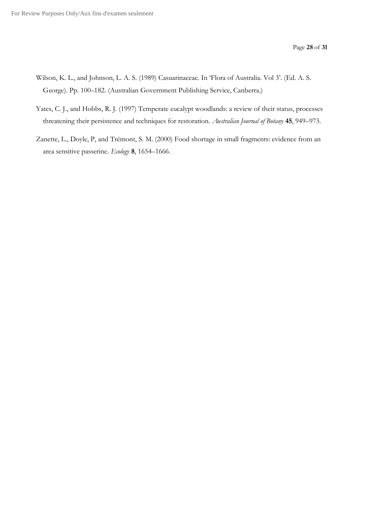- Wilson, K. L., and Johnson, L. A. S. (1989) Casuarinaceae. In 'Flora of Australia. Vol 3'. (Ed. A. S. George). Pp. 100–182. (Australian Government Publishing Service, Canberra.)
- Yates, C. J., and Hobbs, R. J. (1997) Temperate eucalypt woodlands: a review of their status, processes threatening their persistence and techniques for restoration. *Australian Journal of Botany* **45**, 949–973.
- Zanette, L., Doyle, P, and Trémont, S. M. (2000) Food shortage in small fragments: evidence from an area sensitive passerine. *Ecology* **8**, 1654–1666.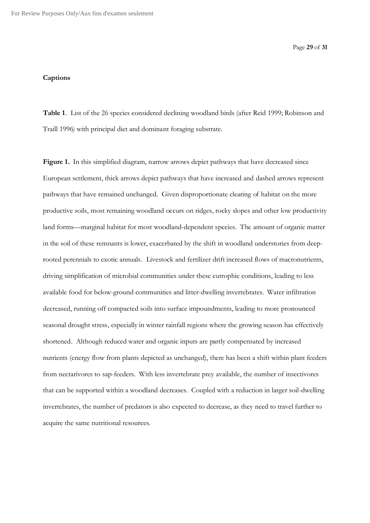Page **29** of **31**

#### **Captions**

**Table 1**. List of the 26 species considered declining woodland birds (after Reid 1999; Robinson and Traill 1996) with principal diet and dominant foraging substrate.

**Figure 1.** In this simplified diagram, narrow arrows depict pathways that have decreased since European settlement, thick arrows depict pathways that have increased and dashed arrows represent pathways that have remained unchanged. Given disproportionate clearing of habitat on the more productive soils, most remaining woodland occurs on ridges, rocky slopes and other low productivity land forms—marginal habitat for most woodland-dependent species. The amount of organic matter in the soil of these remnants is lower, exacerbated by the shift in woodland understories from deeprooted perennials to exotic annuals. Livestock and fertilizer drift increased flows of macronutrients, driving simplification of microbial communities under these eutrophic conditions, leading to less available food for below-ground communities and litter-dwelling invertebrates. Water infiltration decreased, running off compacted soils into surface impoundments, leading to more pronounced seasonal drought stress, especially in winter rainfall regions where the growing season has effectively shortened. Although reduced water and organic inputs are partly compensated by increased nutrients (energy flow from plants depicted as unchanged), there has been a shift within plant feeders from nectarivores to sap-feeders. With less invertebrate prey available, the number of insectivores that can be supported within a woodland decreases. Coupled with a reduction in larger soil-dwelling invertebrates, the number of predators is also expected to decrease, as they need to travel further to acquire the same nutritional resources.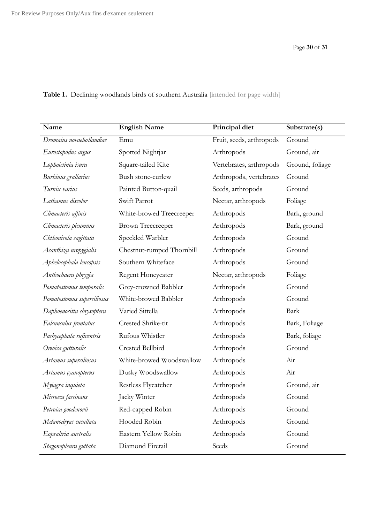| Name                       | <b>English Name</b>       | Principal diet           | Substrate(s)    |
|----------------------------|---------------------------|--------------------------|-----------------|
| Dromaius novaehollandiae   | Emu                       | Fruit, seeds, arthropods | Ground          |
| Eurostopodus argus         | Spotted Nightjar          | Arthropods               | Ground, air     |
| Lophoictinia isura         | Square-tailed Kite        | Vertebrates, arthropods  | Ground, foliage |
| Burhinus grallarius        | Bush stone-curlew         | Arthropods, vertebrates  | Ground          |
| Turnix varius              | Painted Button-quail      | Seeds, arthropods        | Ground          |
| Lathamus discolor          | Swift Parrot              | Nectar, arthropods       | Foliage         |
| Climacteris affinis        | White-browed Treecreeper  | Arthropods               | Bark, ground    |
| Climacteris picumnus       | <b>Brown Treecreeper</b>  | Arthropods               | Bark, ground    |
| Chthonicola sagittata      | Speckled Warbler          | Arthropods               | Ground          |
| Acanthiza uropygialis      | Chestnut-rumped Thornbill | Arthropods               | Ground          |
| Aphelocephala leucopsis    | Southern Whiteface        | Arthropods               | Ground          |
| Anthochaera phrygia        | Regent Honeyeater         | Nectar, arthropods       | Foliage         |
| Pomatostomus temporalis    | Grey-crowned Babbler      | Arthropods               | Ground          |
| Pomatostomus superciliosus | White-browed Babbler      | Arthropods               | Ground          |
| Daphoenositta chrysoptera  | Varied Sittella           | Arthropods               | Bark            |
| Falcunculus frontatus      | Crested Shrike-tit        | Arthropods               | Bark, Foliage   |
| Pachycephala rufiventris   | Rufous Whistler           | Arthropods               | Bark, foliage   |
| Oreoica gutturalis         | Crested Bellbird          | Arthropods               | Ground          |
| Artamus superciliosus      | White-browed Woodswallow  | Arthropods               | Air             |
| Artamus cyanopterus        | Dusky Woodswallow         | Arthropods               | Air             |
| Myiagra inquieta           | Restless Flycatcher       | Arthropods               | Ground, air     |
| Microeca fascinans         | Jacky Winter              | Arthropods               | Ground          |
| Petroica goodenovii        | Red-capped Robin          | Arthropods               | Ground          |
| Melanodryas cucullata      | Hooded Robin              | Arthropods               | Ground          |
| Eopsaltria australis       | Eastern Yellow Robin      | Arthropods               | Ground          |
| Stagonopleura guttata      | Diamond Firetail          | Seeds                    | Ground          |

Table 1. Declining woodlands birds of southern Australia [intended for page width]